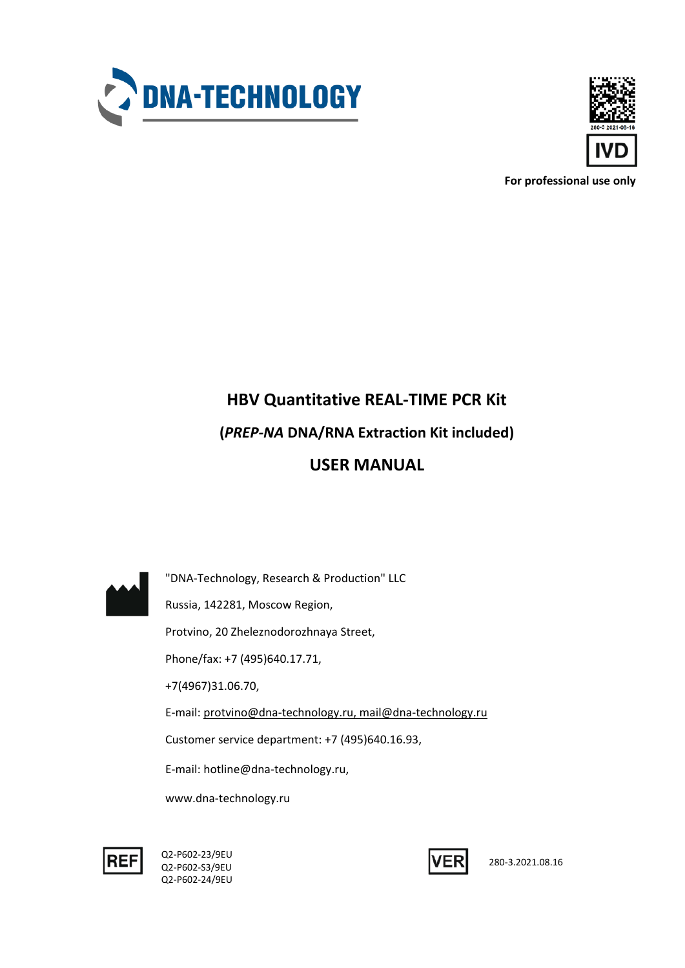



**For professional use only**

# **HBV Quantitative REAL-TIME PCR Kit (***PREP-NA* **DNA/RNA Extraction Kit included) USER MANUAL**



"DNA-Technology, Research & Production" LLC Russia, 142281, Moscow Region, Protvino, 20 Zheleznodorozhnaya Street, Phone/fax: +7 (495)640.17.71, +7(4967)31.06.70, E-mail: protvino@dna-technology.ru, mail@dna-technology.ru Customer service department: +7 (495)640.16.93, E-mail: hotline@dna-technology.ru, www.dna-technology.ru



Q2-P602-23/9EU Q2-P602-S3/9EU Q2-P602-24/9EU



280-3.2021.08.16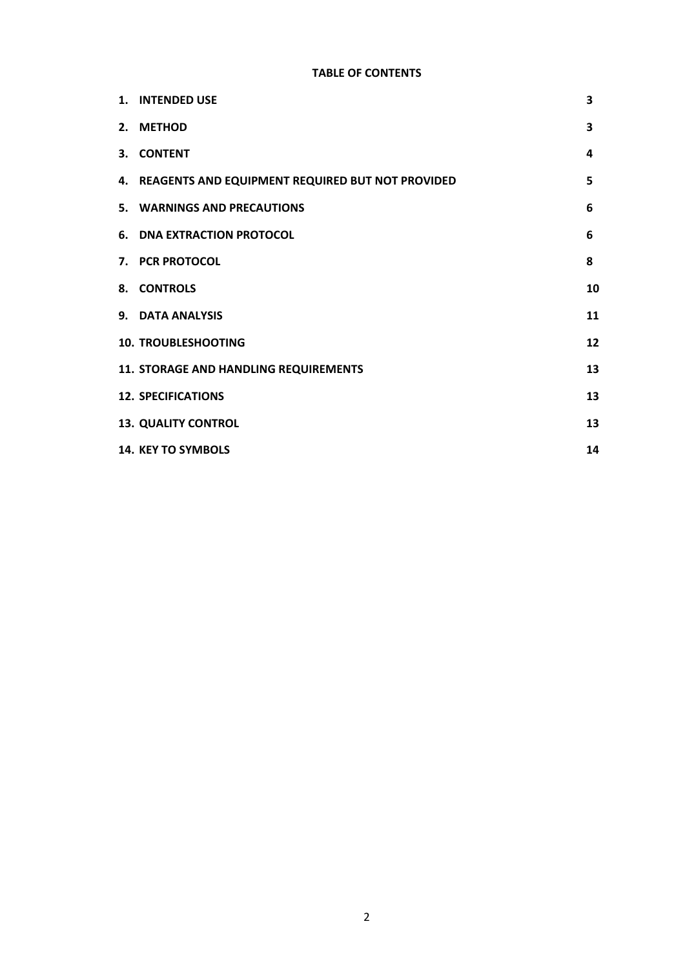## **TABLE OF CONTENTS**

| 1. INTENDED USE                                     | 3  |
|-----------------------------------------------------|----|
| 2. METHOD                                           | 3  |
| 3. CONTENT                                          | 4  |
| 4. REAGENTS AND EQUIPMENT REQUIRED BUT NOT PROVIDED | 5  |
| 5. WARNINGS AND PRECAUTIONS                         | 6  |
| <b>6. DNA EXTRACTION PROTOCOL</b>                   | 6  |
| 7. PCR PROTOCOL                                     | 8  |
| 8. CONTROLS                                         | 10 |
| 9. DATA ANALYSIS                                    | 11 |
| <b>10. TROUBLESHOOTING</b>                          | 12 |
| 11. STORAGE AND HANDLING REQUIREMENTS               | 13 |
| <b>12. SPECIFICATIONS</b>                           | 13 |
| <b>13. QUALITY CONTROL</b>                          | 13 |
| <b>14. KEY TO SYMBOLS</b>                           | 14 |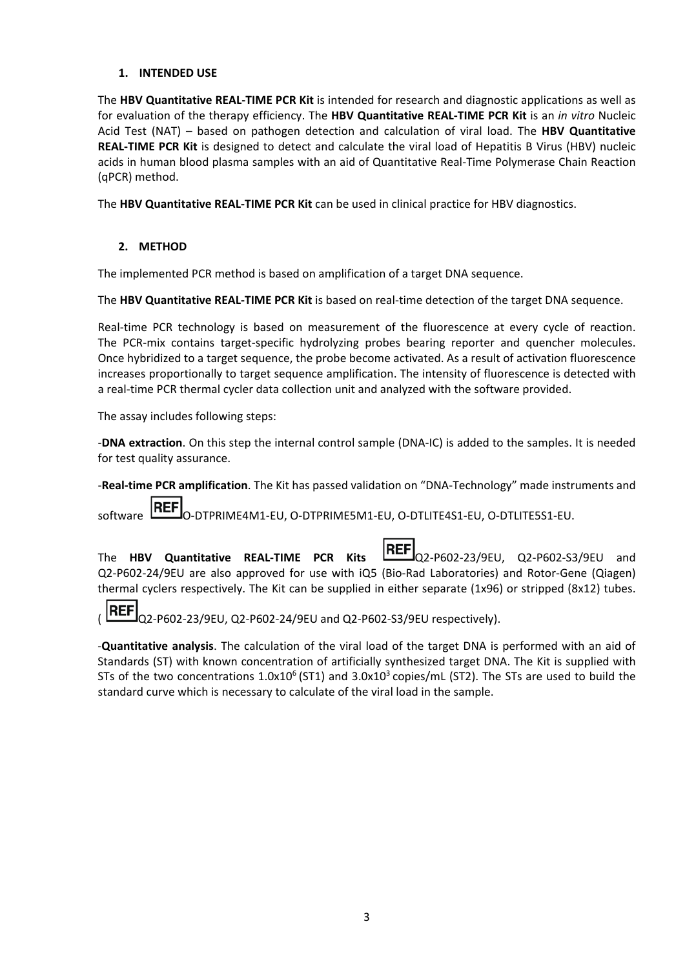#### **1. INTENDED USE**

The **HBV Quantitative REAL-TIME PCR Kit** is intended for research and diagnostic applications as well as for evaluation of the therapy efficiency. The **HBV Quantitative REAL-TIME PCR Kit** is an *in vitro* Nucleic Acid Test (NAT) – based on pathogen detection and calculation of viral load. The **HBV Quantitative REAL-TIME PCR Kit** is designed to detect and calculate the viral load of Hepatitis B Virus (HBV) nucleic acids in human blood plasma samples with an aid of Quantitative Real-Time Polymerase Chain Reaction (qPCR) method.

The **HBV Quantitative REAL-TIME PCR Kit** can be used in clinical practice for HBV diagnostics.

## **2. METHOD**

The implemented PCR method is based on amplification of a target DNA sequence.

The **HBV Quantitative REAL-TIME PCR Kit** is based on real-time detection of the target DNA sequence.

Real-time PCR technology is based on measurement of the fluorescence at every cycle of reaction. The PCR-mix contains target-specific hydrolyzing probes bearing reporter and quencher molecules. Once hybridized to a target sequence, the probe become activated. As a result of activation fluorescence increases proportionally to target sequence amplification. The intensity of fluorescence is detected with a real-time PCR thermal cycler data collection unit and analyzed with the software provided.

The assay includes following steps:

-**DNA extraction**. On this step the internal control sample (DNA-IC) is added to the samples. It is needed for test quality assurance.

-**Real-time PCR amplification**. The Kit has passed validation on "DNA-Technology" made instruments and

software  $\frac{\text{IEEE}}{\text{O-DTPRIME4M1-EU}}$ , O-DTPRIME5M1-EU, O-DTLITE4S1-EU, O-DTLITE5S1-EU.

The **HBV Quantitative REAL-TIME PCR Kits <b>EREF** Q2-P602-23/9EU, Q2-P602-S3/9EU and Q2-P602-24/9EU are also approved for use with iQ5 (Bio-Rad Laboratories) and Rotor-Gene (Qiagen) thermal cyclers respectively. The Kit can be supplied in either separate (1x96) or stripped (8x12) tubes.

**REF**  $_{\rm Q2-P602-23/9EU, Q2-P602-24/9EU}$  and Q2-P602-S3/9EU respectively).

-**Quantitative analysis**. The calculation of the viral load of the target DNA is performed with an aid of Standards (ST) with known concentration of artificially synthesized target DNA. The Kit is supplied with STs of the two concentrations  $1.0x10^6$  (ST1) and  $3.0x10^3$  copies/mL (ST2). The STs are used to build the standard curve which is necessary to calculate of the viral load in the sample.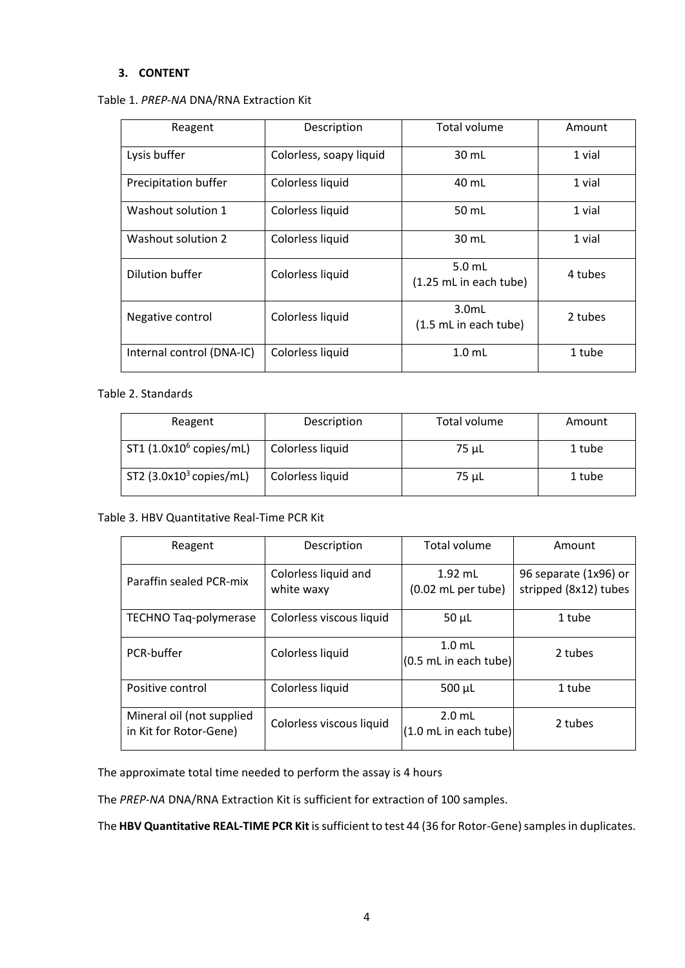#### **3. CONTENT**

| Reagent                   | Description             | <b>Total volume</b>                | Amount  |
|---------------------------|-------------------------|------------------------------------|---------|
| Lysis buffer              | Colorless, soapy liquid | 30 mL                              | 1 vial  |
| Precipitation buffer      | Colorless liquid        | 40 mL                              | 1 vial  |
| Washout solution 1        | Colorless liquid        | 50 mL                              | 1 vial  |
| Washout solution 2        | Colorless liquid        | 30 mL                              | 1 vial  |
| Dilution buffer           | Colorless liquid        | $5.0$ mL<br>(1.25 mL in each tube) | 4 tubes |
| Negative control          | Colorless liquid        | $3.0m$ L<br>(1.5 mL in each tube)  | 2 tubes |
| Internal control (DNA-IC) | Colorless liquid        | 1.0 <sub>mL</sub>                  | 1 tube  |

Table 2. Standards

| Reagent                             | Description      | Total volume | Amount |
|-------------------------------------|------------------|--------------|--------|
| ST1 (1.0x10 <sup>6</sup> copies/mL) | Colorless liquid | 75 µL        | 1 tube |
| ST2 $(3.0x10^3$ copies/mL)          | Colorless liquid | 75 µL        | 1 tube |

#### Table 3. HBV Quantitative Real-Time PCR Kit

| Reagent                                             | Description                        | Total volume                              | Amount                                         |
|-----------------------------------------------------|------------------------------------|-------------------------------------------|------------------------------------------------|
| Paraffin sealed PCR-mix                             | Colorless liquid and<br>white waxy | $1.92$ mL<br>$(0.02 \text{ mL per tube})$ | 96 separate (1x96) or<br>stripped (8x12) tubes |
| <b>TECHNO Tag-polymerase</b>                        | Colorless viscous liquid           | $50 \mu L$                                | 1 tube                                         |
| PCR-buffer                                          | Colorless liquid                   | $1.0$ mL<br>$(0.5$ mL in each tube)       | 2 tubes                                        |
| Positive control                                    | Colorless liquid                   | $500 \mu L$                               | 1 tube                                         |
| Mineral oil (not supplied<br>in Kit for Rotor-Gene) | Colorless viscous liquid           | $2.0$ mL<br>$(1.0$ mL in each tube)       | 2 tubes                                        |

The approximate total time needed to perform the assay is 4 hours

The *PREP-NA* DNA/RNA Extraction Kit is sufficient for extraction of 100 samples.

The HBV Quantitative REAL-TIME PCR Kit is sufficient to test 44 (36 for Rotor-Gene) samples in duplicates.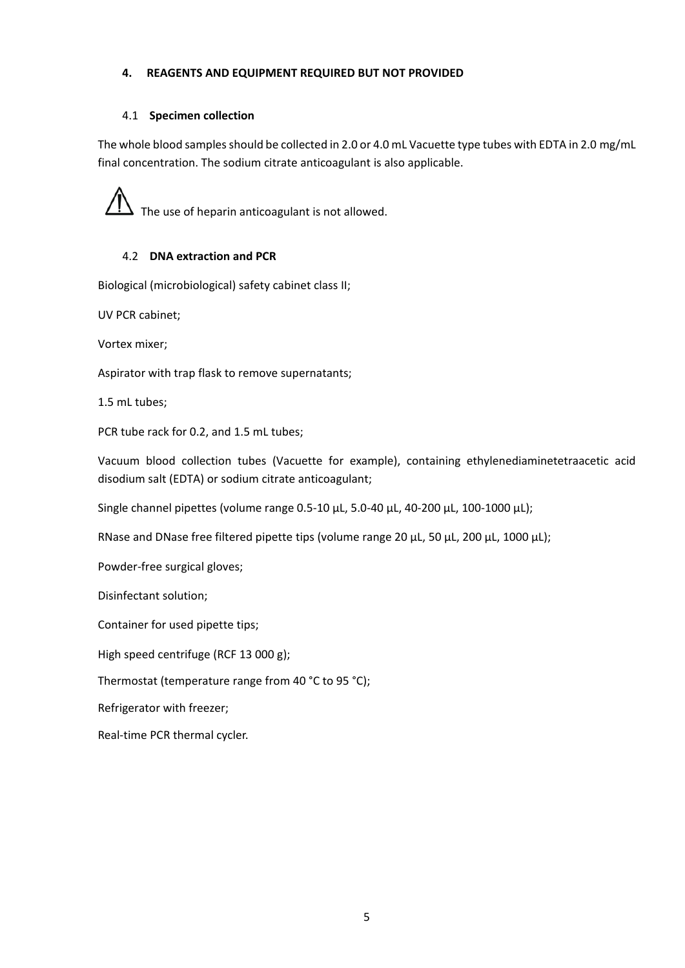## **4. REAGENTS AND EQUIPMENT REQUIRED BUT NOT PROVIDED**

## 4.1 **Specimen collection**

The whole blood samples should be collected in 2.0 or 4.0 mL Vacuette type tubes with EDTA in 2.0 mg/mL final concentration. The sodium citrate anticoagulant is also applicable.

The use of heparin anticoagulant is not allowed.

# 4.2 **DNA extraction and PCR**

Biological (microbiological) safety cabinet class II;

UV PCR cabinet;

Vortex mixer;

Аspirator with trap flask to remove supernatants;

1.5 mL tubes;

PCR tube rack for 0.2, and 1.5 mL tubes;

Vacuum blood collection tubes (Vacuette for example), containing ethylenediaminetetraacetic acid disodium salt (EDTA) or sodium citrate anticoagulant;

Single channel pipettes (volume range 0.5-10 µL, 5.0-40 µL, 40-200 µL, 100-1000 µL);

RNase and DNase free filtered pipette tips (volume range 20  $\mu$ L, 50  $\mu$ L, 200  $\mu$ L, 1000  $\mu$ L);

Powder-free surgical gloves;

Disinfectant solution;

Container for used pipette tips;

High speed centrifuge (RCF 13 000 g);

Thermostat (temperature range from 40 °C to 95 °C);

Refrigerator with freezer;

Real-time PCR thermal cycler.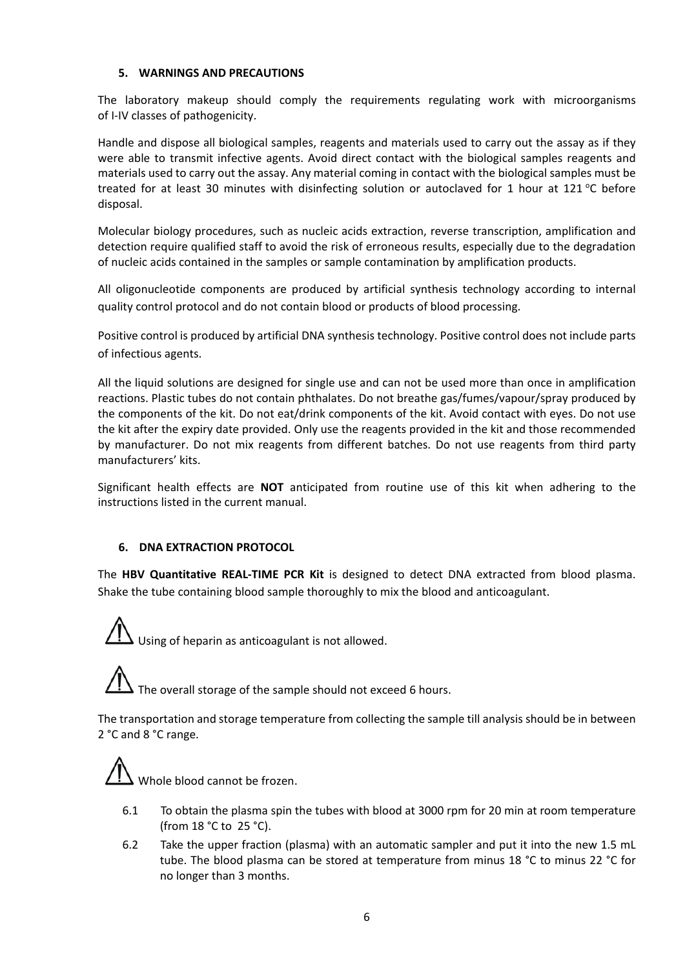#### **5. WARNINGS AND PRECAUTIONS**

The laboratory makeup should comply the requirements regulating work with microorganisms of I-IV classes of pathogenicity.

Handle and dispose all biological samples, reagents and materials used to carry out the assay as if they were able to transmit infective agents. Avoid direct contact with the biological samples reagents and materials used to carry out the assay. Any material coming in contact with the biological samples must be treated for at least 30 minutes with disinfecting solution or autoclaved for 1 hour at 121 °C before disposal.

Molecular biology procedures, such as nucleic acids extraction, reverse transcription, amplification and detection require qualified staff to avoid the risk of erroneous results, especially due to the degradation of nucleic acids contained in the samples or sample contamination by amplification products.

All oligonucleotide components are produced by artificial synthesis technology according to internal quality control protocol and do not contain blood or products of blood processing.

Positive control is produced by artificial DNA synthesis technology. Positive control does not include parts of infectious agents.

All the liquid solutions are designed for single use and can not be used more than once in amplification reactions. Plastic tubes do not contain phthalates. Do not breathe gas/fumes/vapour/spray produced by the components of the kit. Do not eat/drink components of the kit. Avoid contact with eyes. Do not use the kit after the expiry date provided. Only use the reagents provided in the kit and those recommended by manufacturer. Do not mix reagents from different batches. Do not use reagents from third party manufacturers' kits.

Significant health effects are **NOT** anticipated from routine use of this kit when adhering to the instructions listed in the current manual.

## **6. DNA EXTRACTION PROTOCOL**

The **HBV Quantitative REAL-TIME PCR Kit** is designed to detect DNA extracted from blood plasma. Shake the tube containing blood sample thoroughly to mix the blood and anticoagulant.

Using of heparin as anticoagulant is not allowed.

The overall storage of the sample should not exceed 6 hours.

The transportation and storage temperature from collecting the sample till analysis should be in between 2 °С and 8 °С range.

Whole blood cannot be frozen.

- 6.1 To obtain the plasma spin the tubes with blood at 3000 rpm for 20 min at room temperature (from 18 °С to 25 °С).
- 6.2 Take the upper fraction (plasma) with an automatic sampler and put it into the new 1.5 mL tube. The blood plasma can be stored at temperature from minus 18 °С to minus 22 °С for no longer than 3 months.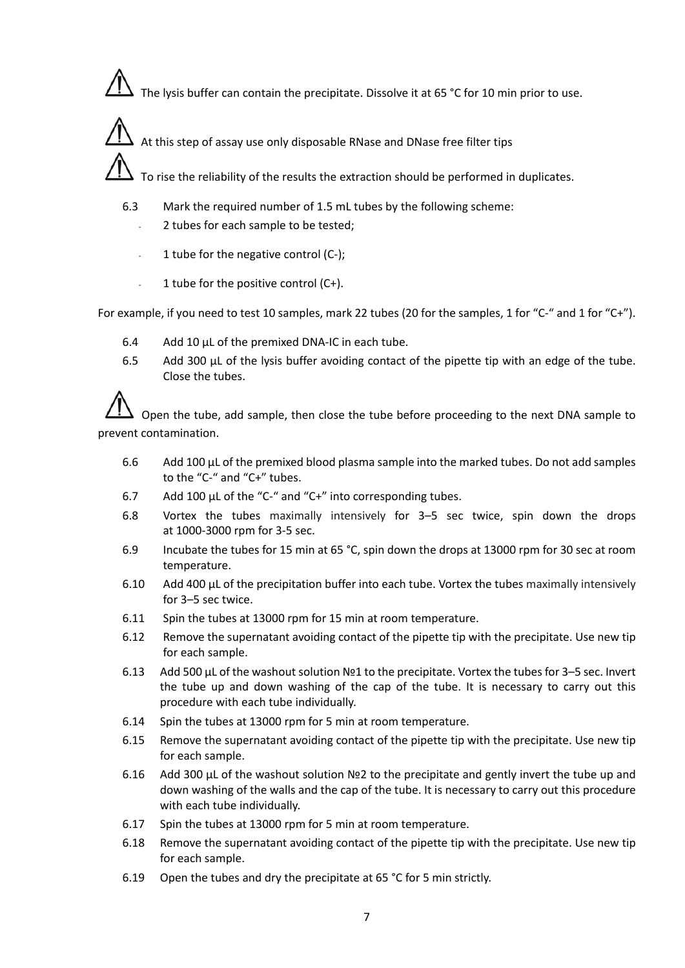The lysis buffer can contain the precipitate. Dissolve it at 65 °С for 10 min prior to use.

At this step of assay use only disposable RNase and DNase free filter tips

To rise the reliability of the results the extraction should be performed in duplicates.

- 6.3 Mark the required number of 1.5 mL tubes by the following scheme:
	- 2 tubes for each sample to be tested;
	- 1 tube for the negative control  $(C-);$
	- $-1$  tube for the positive control (C+).

For example, if you need to test 10 samples, mark 22 tubes (20 for the samples, 1 for "C-" and 1 for "C+").

- 6.4 Add 10 µL of the premixed DNA-IC in each tube.
- 6.5 Add 300  $\mu$ L of the lysis buffer avoiding contact of the pipette tip with an edge of the tube. Close the tubes.

Open the tube, add sample, then close the tube before proceeding to the next DNA sample to prevent contamination.

- 6.6 Add 100 µL of the premixed blood plasma sample into the marked tubes. Do not add samples to the "C-" and "C+" tubes.
- 6.7 Add 100 µL of the "C-" and "C+" into corresponding tubes.
- 6.8 Vortex the tubes maximally intensively for 3–5 sec twice, spin down the drops at 1000-3000 rpm for 3-5 sec.
- 6.9 Incubate the tubes for 15 min at 65 °С, spin down the drops at 13000 rpm for 30 sec at room temperature.
- 6.10 Add 400 µL of the precipitation buffer into each tube. Vortex the tubes maximally intensively for 3–5 sec twice.
- 6.11 Spin the tubes at 13000 rpm for 15 min at room temperature.
- 6.12 Remove the supernatant avoiding contact of the pipette tip with the precipitate. Use new tip for each sample.
- 6.13 Add 500 µL of the washout solution №1 to the precipitate. Vortex the tubes for 3–5 sec. Invert the tube up and down washing of the cap of the tube. It is necessary to carry out this procedure with each tube individually.
- 6.14 Spin the tubes at 13000 rpm for 5 min at room temperature.
- 6.15 Remove the supernatant avoiding contact of the pipette tip with the precipitate. Use new tip for each sample.
- 6.16 Add 300 µL of the washout solution №2 to the precipitate and gently invert the tube up and down washing of the walls and the cap of the tube. It is necessary to carry out this procedure with each tube individually.
- 6.17 Spin the tubes at 13000 rpm for 5 min at room temperature.
- 6.18 Remove the supernatant avoiding contact of the pipette tip with the precipitate. Use new tip for each sample.
- 6.19 Open the tubes and dry the precipitate at 65 °С for 5 min strictly.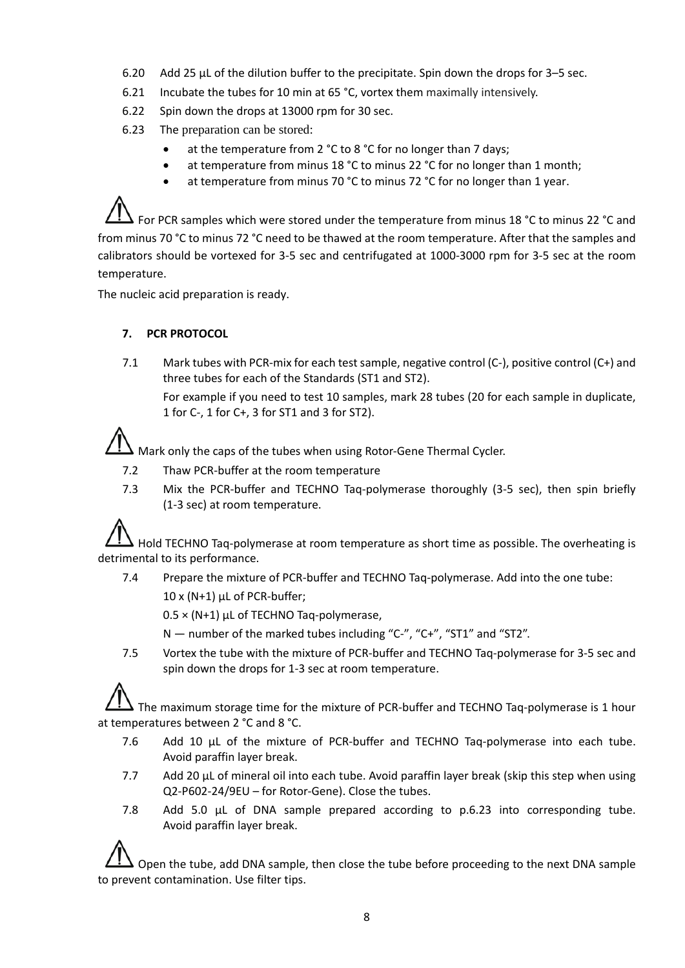- 6.20 Add 25 µL of the dilution buffer to the precipitate. Spin down the drops for 3–5 sec.
- 6.21 Incubate the tubes for 10 min at 65 °С, vortex them maximally intensively.
- 6.22 Spin down the drops at 13000 rpm for 30 sec.
- 6.23 The preparation can be stored:
	- at the temperature from 2 °C to 8 °C for no longer than 7 days;
	- at temperature from minus 18 °C to minus 22 °C for no longer than 1 month;
	- at temperature from minus 70 °C to minus 72 °C for no longer than 1 year.

For PCR samples which were stored under the temperature from minus 18 °С to minus 22 °С and from minus 70 °C to minus 72 °C need to be thawed at the room temperature. After that the samples and calibrators should be vortexed for 3-5 sec and centrifugated at 1000-3000 rpm for 3-5 sec at the room temperature.

The nucleic acid preparation is ready.

## **7. PCR PROTOCOL**

7.1 Mark tubes with PCR-mix for each test sample, negative control (C-), positive control (C+) and three tubes for each of the Standards (ST1 and ST2).

For example if you need to test 10 samples, mark 28 tubes (20 for each sample in duplicate, 1 for C-, 1 for C+, 3 for ST1 and 3 for ST2).

Mark only the caps of the tubes when using Rotor-Gene Thermal Cycler.

- 7.2 Thaw PCR-buffer at the room temperature
- 7.3 Mix the PCR-buffer and TECHNO Taq-polymerase thoroughly (3-5 sec), then spin briefly (1-3 sec) at room temperature.

Hold TECHNO Taq-polymerase at room temperature as short time as possible. The overheating is detrimental to its performance.

7.4 Prepare the mixture of PCR-buffer and TECHNO Taq-polymerase. Add into the one tube:

10 x (N+1) μL of PCR-buffer;

 $0.5 \times (N+1)$  µL of TECHNO Taq-polymerase,

- N number of the marked tubes including "C-", "C+", "ST1" and "ST2".
- 7.5 Vortex the tube with the mixture of PCR-buffer and TECHNO Taq-polymerase for 3-5 sec and spin down the drops for 1-3 sec at room temperature.

The maximum storage time for the mixture of PCR-buffer and TECHNO Taq-polymerase is 1 hour at temperatures between 2 °С and 8 °С.

- 7.6 Add 10 µL of the mixture of PCR-buffer and TECHNO Taq-polymerase into each tube. Avoid paraffin layer break.
- 7.7 Add 20 µL of mineral oil into each tube. Avoid paraffin layer break (skip this step when using Q2-P602-24/9EU – for Rotor-Gene). Close the tubes.
- 7.8 Add 5.0 µL of DNA sample prepared according to p.6.23 into corresponding tube. Avoid paraffin layer break.

Open the tube, add DNA sample, then close the tube before proceeding to the next DNA sample to prevent contamination. Use filter tips.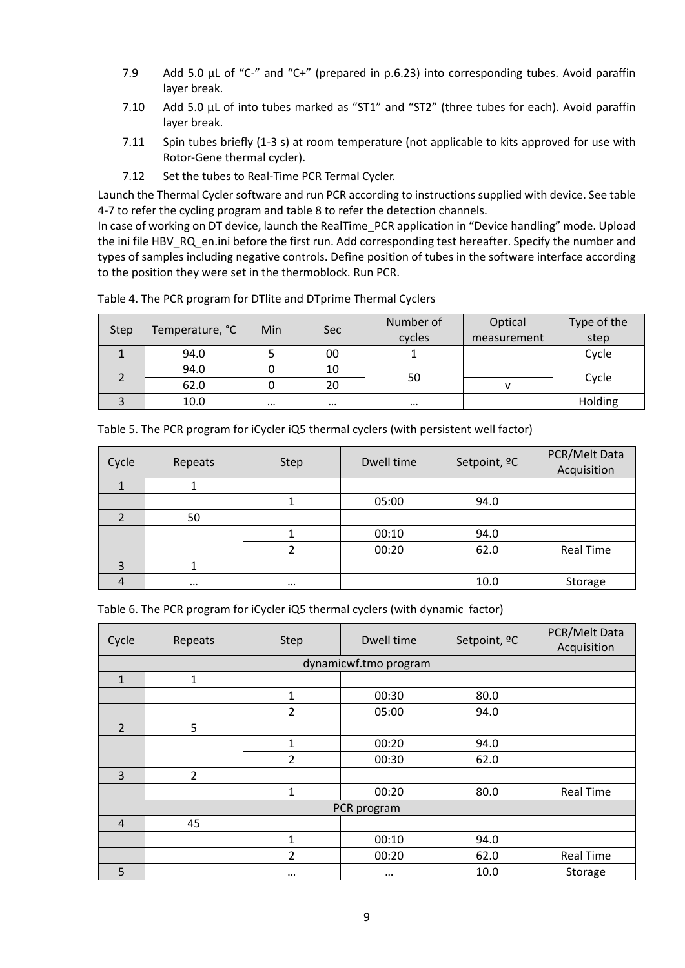- 7.9 Add 5.0 µL of "C-" and "C+" (prepared in p.6.23) into corresponding tubes. Avoid paraffin layer break.
- 7.10 Add 5.0 μL of into tubes marked as "ST1" and "ST2" (three tubes for each). Avoid paraffin layer break.
- 7.11 Spin tubes briefly (1-3 s) at room temperature (not applicable to kits approved for use with Rotor-Gene thermal cycler).
- 7.12 Set the tubes to Real-Time PCR Termal Cycler.

Launch the Thermal Cycler software and run PCR according to instructions supplied with device. See table 4-7 to refer the cycling program and table 8 to refer the detection channels.

In case of working on DT device, launch the RealTime\_PCR application in "Device handling" mode. Upload the ini file HBV\_RQ\_en.ini before the first run. Add corresponding test hereafter. Specify the number and types of samples including negative controls. Define position of tubes in the software interface according to the position they were set in the thermoblock. Run PCR.

| <b>Step</b> | Temperature, °C | <b>Min</b> | <b>Sec</b> | Number of | Optical     | Type of the |
|-------------|-----------------|------------|------------|-----------|-------------|-------------|
|             |                 |            |            | cycles    | measurement | step        |
|             | 94.0            |            | 00         |           |             | Cycle       |
|             | 94.0            |            | 10         |           |             |             |
|             | 62.0            |            | 20         | 50        | v           | Cycle       |
|             | 10.0            | $\cdots$   | $\cdots$   | $\cdots$  |             | Holding     |

Table 4. The PCR program for DTlite and DTprime Thermal Cyclers

|  |  | Table 5. The PCR program for iCycler iQ5 thermal cyclers (with persistent well factor) |
|--|--|----------------------------------------------------------------------------------------|
|--|--|----------------------------------------------------------------------------------------|

| Cycle | Repeats  | <b>Step</b> | Dwell time | Setpoint, <sup>o</sup> C | PCR/Melt Data<br>Acquisition |
|-------|----------|-------------|------------|--------------------------|------------------------------|
|       |          |             |            |                          |                              |
|       |          |             | 05:00      | 94.0                     |                              |
|       | 50       |             |            |                          |                              |
|       |          |             | 00:10      | 94.0                     |                              |
|       |          |             | 00:20      | 62.0                     | <b>Real Time</b>             |
| 3     |          |             |            |                          |                              |
| 4     | $\cdots$ | $\cdots$    |            | 10.0                     | Storage                      |

| Cycle          | Repeats        | Step           | Dwell time            | Setpoint, <sup>o</sup> C | PCR/Melt Data<br>Acquisition |  |
|----------------|----------------|----------------|-----------------------|--------------------------|------------------------------|--|
|                |                |                | dynamicwf.tmo program |                          |                              |  |
| $\mathbf{1}$   | 1              |                |                       |                          |                              |  |
|                |                | $\mathbf{1}$   | 00:30                 | 80.0                     |                              |  |
|                |                | $\overline{2}$ | 05:00                 | 94.0                     |                              |  |
| $\overline{2}$ | 5              |                |                       |                          |                              |  |
|                |                | $\mathbf{1}$   | 00:20                 | 94.0                     |                              |  |
|                |                | $\overline{2}$ | 00:30                 | 62.0                     |                              |  |
| 3              | $\overline{2}$ |                |                       |                          |                              |  |
|                |                | 1              | 00:20                 | 80.0                     | <b>Real Time</b>             |  |
|                | PCR program    |                |                       |                          |                              |  |
| $\overline{4}$ | 45             |                |                       |                          |                              |  |
|                |                | 1              | 00:10                 | 94.0                     |                              |  |
|                |                | $\overline{2}$ | 00:20                 | 62.0                     | <b>Real Time</b>             |  |
| 5              |                | $\cdots$       | $\cdots$              | 10.0                     | Storage                      |  |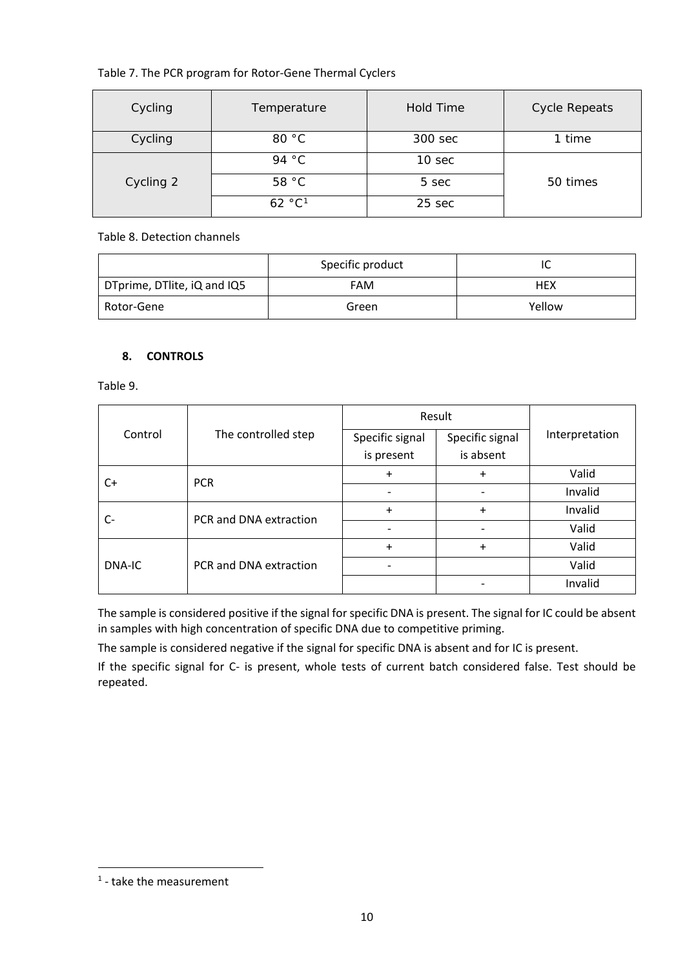# Table 7. The PCR program for Rotor-Gene Thermal Cyclers

| Cycling   | Temperature        | <b>Hold Time</b> | <b>Cycle Repeats</b> |
|-----------|--------------------|------------------|----------------------|
| Cycling   | 80 °C              | 300 sec          | 1 time               |
|           | 94 °C              | 10 sec           |                      |
| Cycling 2 | 58 °C              | 5 sec            | 50 times             |
|           | 62 °C <sup>1</sup> | 25 sec           |                      |

## Table 8. Detection channels

|                             | Specific product | י          |
|-----------------------------|------------------|------------|
| DTprime, DTlite, iQ and IQ5 | FAM              | <b>HEX</b> |
| Rotor-Gene                  | Green            | Yellow     |

## **8. CONTROLS**

Table 9.

|         |                        | Result                   |                          |                |
|---------|------------------------|--------------------------|--------------------------|----------------|
| Control | The controlled step    | Specific signal          | Specific signal          | Interpretation |
|         |                        | is present               | is absent                |                |
| C+      | <b>PCR</b>             | $\ddot{}$                | $\ddot{}$                | Valid          |
|         |                        | $\overline{\phantom{a}}$ | $\overline{\phantom{a}}$ | Invalid        |
| C-      | PCR and DNA extraction | $\ddot{}$                | $\ddot{}$                | Invalid        |
|         |                        | $\overline{\phantom{0}}$ | $\overline{\phantom{0}}$ | Valid          |
| DNA-IC  | PCR and DNA extraction | $\ddot{}$                | $\ddot{}$                | Valid          |
|         |                        | $\overline{\phantom{a}}$ |                          | Valid          |
|         |                        |                          |                          | Invalid        |

The sample is considered positive if the signal for specific DNA is present. The signal for IC could be absent in samples with high concentration of specific DNA due to competitive priming.

The sample is considered negative if the signal for specific DNA is absent and for IC is present.

If the specific signal for C- is present, whole tests of current batch considered false. Test should be repeated.

<span id="page-9-0"></span> <sup>1</sup> - take the measurement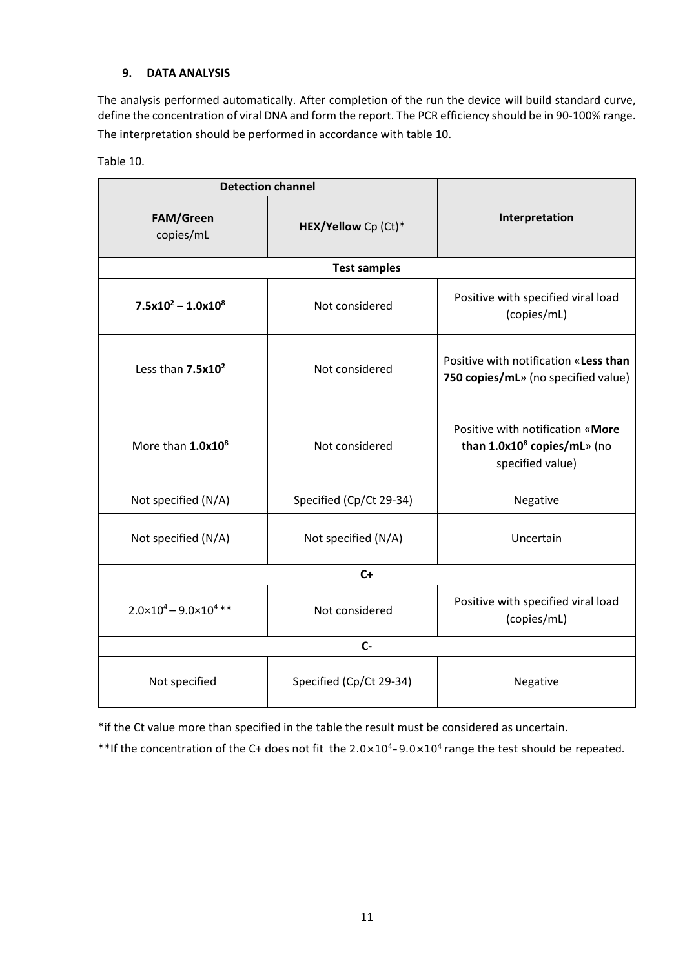## **9. DATA ANALYSIS**

The analysis performed automatically. After completion of the run the device will build standard curve, define the concentration of viral DNA and form the report. The PCR efficiency should be in 90-100% range. The interpretation should be performed in accordance with table 10.

|  | Table 10. |
|--|-----------|
|  |           |

| <b>Detection channel</b>               |                         |                                                                                                 |  |  |  |  |
|----------------------------------------|-------------------------|-------------------------------------------------------------------------------------------------|--|--|--|--|
| <b>FAM/Green</b><br>copies/mL          | HEX/Yellow Cp (Ct)*     | Interpretation                                                                                  |  |  |  |  |
| <b>Test samples</b>                    |                         |                                                                                                 |  |  |  |  |
| $7.5x10^2 - 1.0x10^8$                  | Not considered          | Positive with specified viral load<br>(copies/mL)                                               |  |  |  |  |
| Less than 7.5x10 <sup>2</sup>          | Not considered          | Positive with notification «Less than<br>750 copies/mL» (no specified value)                    |  |  |  |  |
| More than 1.0x10 <sup>8</sup>          | Not considered          | Positive with notification «More<br>than 1.0x10 <sup>8</sup> copies/mL» (no<br>specified value) |  |  |  |  |
| Not specified (N/A)                    | Specified (Cp/Ct 29-34) | Negative                                                                                        |  |  |  |  |
| Not specified (N/A)                    | Not specified (N/A)     | Uncertain                                                                                       |  |  |  |  |
| $C+$                                   |                         |                                                                                                 |  |  |  |  |
| $2.0 \times 10^4 - 9.0 \times 10^4$ ** | Not considered          | Positive with specified viral load<br>(copies/mL)                                               |  |  |  |  |
| $C -$                                  |                         |                                                                                                 |  |  |  |  |
| Not specified                          | Specified (Cp/Ct 29-34) | Negative                                                                                        |  |  |  |  |

\*if the Ct value more than specified in the table the result must be considered as uncertain.

\*\*If the concentration of the C+ does not fit the 2.0×104–9.0×104 range the test should be repeated.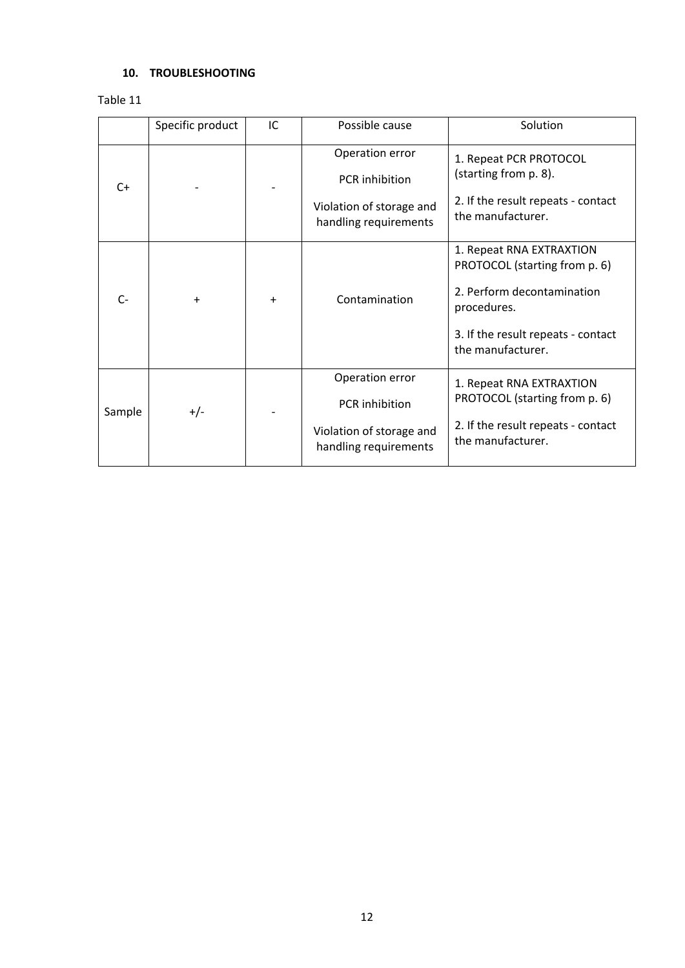# **10. TROUBLESHOOTING**

Table 11

|        | Specific product | IC | Possible cause                                    | Solution                                                  |
|--------|------------------|----|---------------------------------------------------|-----------------------------------------------------------|
| $C+$   |                  |    | Operation error                                   | 1. Repeat PCR PROTOCOL<br>(starting from p. 8).           |
|        |                  |    | PCR inhibition                                    |                                                           |
|        |                  |    | Violation of storage and<br>handling requirements | 2. If the result repeats - contact<br>the manufacturer.   |
| $C-$   | +                | +  | Contamination                                     | 1. Repeat RNA EXTRAXTION<br>PROTOCOL (starting from p. 6) |
|        |                  |    |                                                   | 2. Perform decontamination                                |
|        |                  |    |                                                   | procedures.                                               |
|        |                  |    |                                                   | 3. If the result repeats - contact                        |
|        |                  |    |                                                   | the manufacturer.                                         |
| Sample | $+/-$            |    | Operation error                                   | 1. Repeat RNA EXTRAXTION                                  |
|        |                  |    | PCR inhibition                                    | PROTOCOL (starting from p. 6)                             |
|        |                  |    | Violation of storage and<br>handling requirements | 2. If the result repeats - contact<br>the manufacturer.   |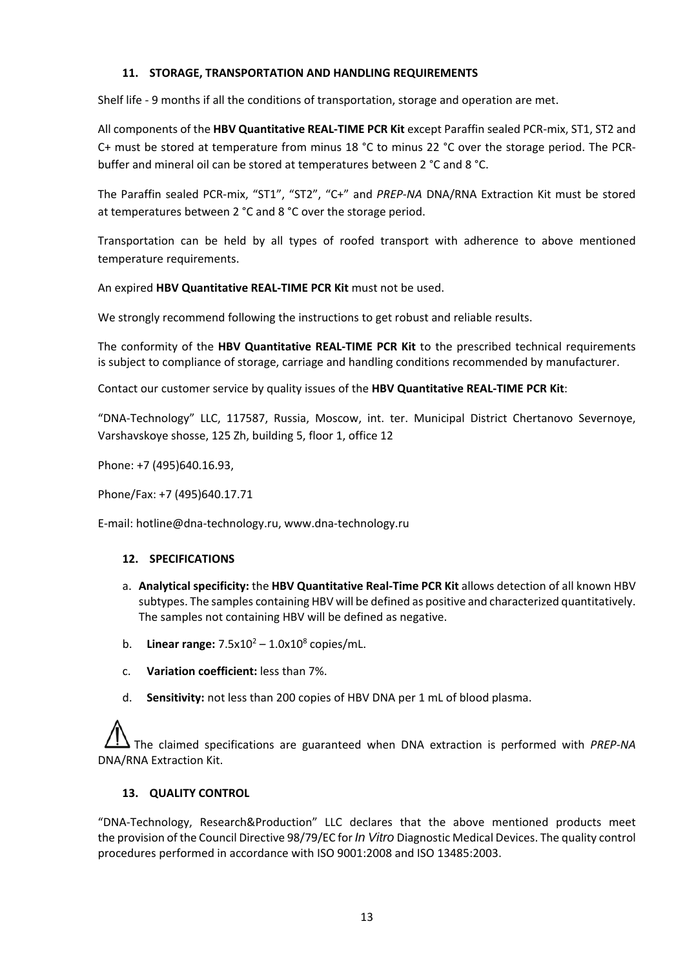## **11. STORAGE, TRANSPORTATION AND HANDLING REQUIREMENTS**

Shelf life - 9 months if all the conditions of transportation, storage and operation are met.

All components of the **HBV Quantitative REAL-TIME PCR Kit** except Paraffin sealed PCR-mix, ST1, ST2 and C+ must be stored at temperature from minus 18 °С to minus 22 °С over the storage period. The PCRbuffer and mineral oil can be stored at temperatures between 2 °C and 8 °C.

The Paraffin sealed PCR-mix, "ST1", "ST2", "C+" and *PREP-NA* DNA/RNA Extraction Kit must be stored at temperatures between 2 °C and 8 °C over the storage period.

Transportation can be held by all types of roofed transport with adherence to above mentioned temperature requirements.

An expired **HBV Quantitative REAL-TIME PCR Kit** must not be used.

We strongly recommend following the instructions to get robust and reliable results.

The conformity of the **HBV Quantitative REAL-TIME PCR Kit** to the prescribed technical requirements is subject to compliance of storage, carriage and handling conditions recommended by manufacturer.

Contact our customer service by quality issues of the **HBV Quantitative REAL-TIME PCR Kit**:

"DNA-Technology" LLC, 117587, Russia, Moscow, int. ter. Municipal District Chertanovo Severnoye, Varshavskoye shosse, 125 Zh, building 5, floor 1, office 12

Phone: +7 (495)640.16.93,

Phone/Fax: +7 (495)640.17.71

E-mail: hotline@dna-technology.ru, [www.dna-technology.ru](http://www.dna-technology.ru/)

#### **12. SPECIFICATIONS**

- a. **Analytical specificity:** the **HBV Quantitative Real-Time PCR Kit** allows detection of all known HBV subtypes. The samples containing HBV will be defined as positive and characterized quantitatively. The samples not containing HBV will be defined as negative.
- b. **Linear range:**  $7.5 \times 10^2 1.0 \times 10^8$  copies/mL.
- c. **Variation coefficient:** less than 7%.
- d. **Sensitivity:** not less than 200 copies of HBV DNA per 1 mL of blood plasma.

The claimed specifications are guaranteed when DNA extraction is performed with *PREP-NA* DNA/RNA Extraction Kit.

## **13. QUALITY CONTROL**

"DNA-Technology, Research&Production" LLC declares that the above mentioned products meet the provision of the Council Directive 98/79/EC for *In Vitro* Diagnostic Medical Devices. The quality control procedures performed in accordance with ISO 9001:2008 and ISO 13485:2003.